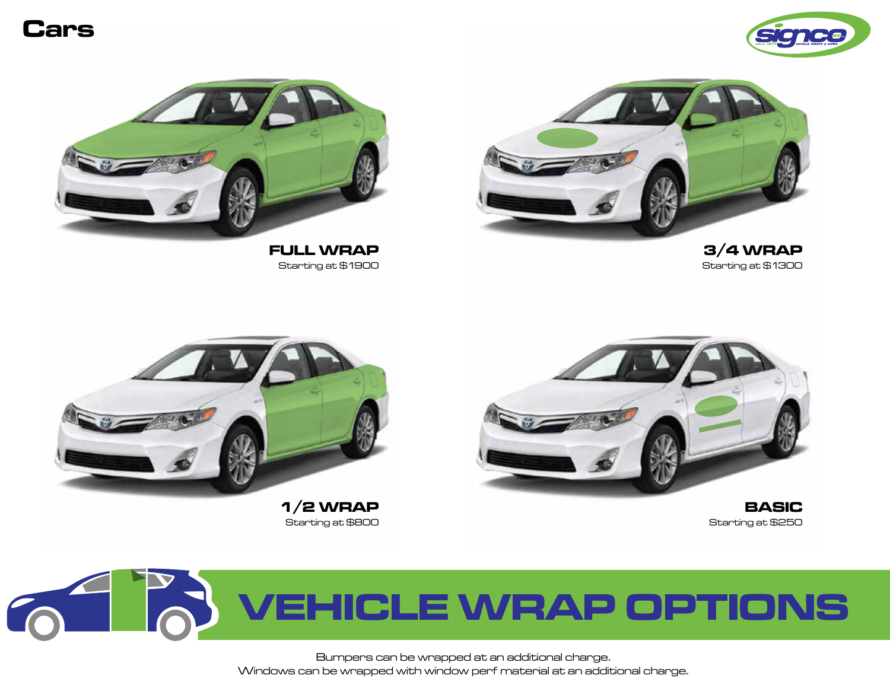#### **Cars**





**FULL WRAP** Starting at \$1900



**3/4 WRAP** Starting at \$1300



Starting at \$800



**BASIC** Starting at \$250

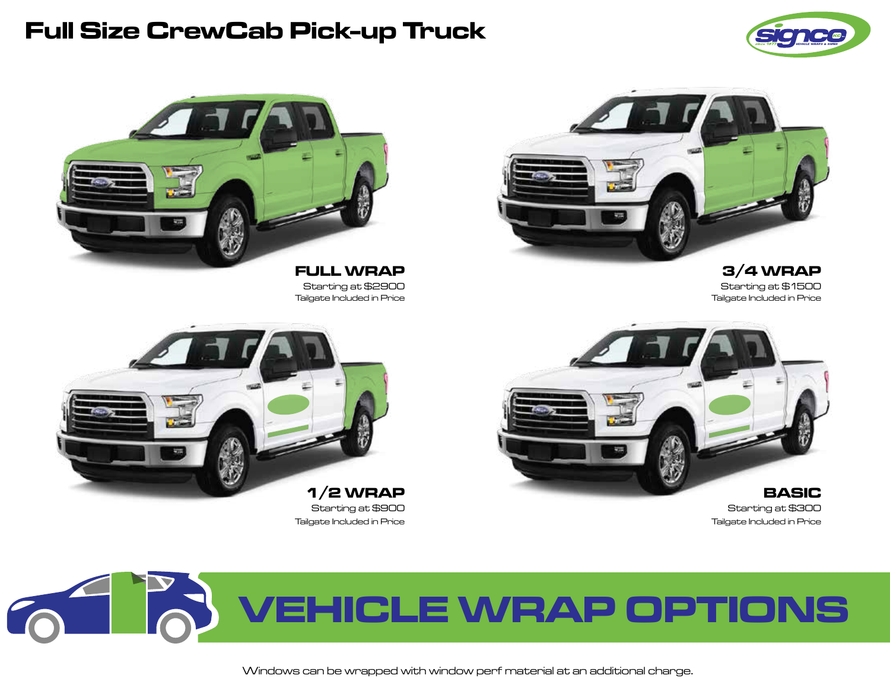### **Full Size CrewCab Pick-up Truck**





**FULL WRAP 3/4 WRAP** Starting at \$2900 Starting at \$1500



Starting at \$900 Starting at \$300 Tailgate Included in Price Tailgate Included in Price



Tailgate Included in Price





Windows can be wrapped with window perf material at an additional charge.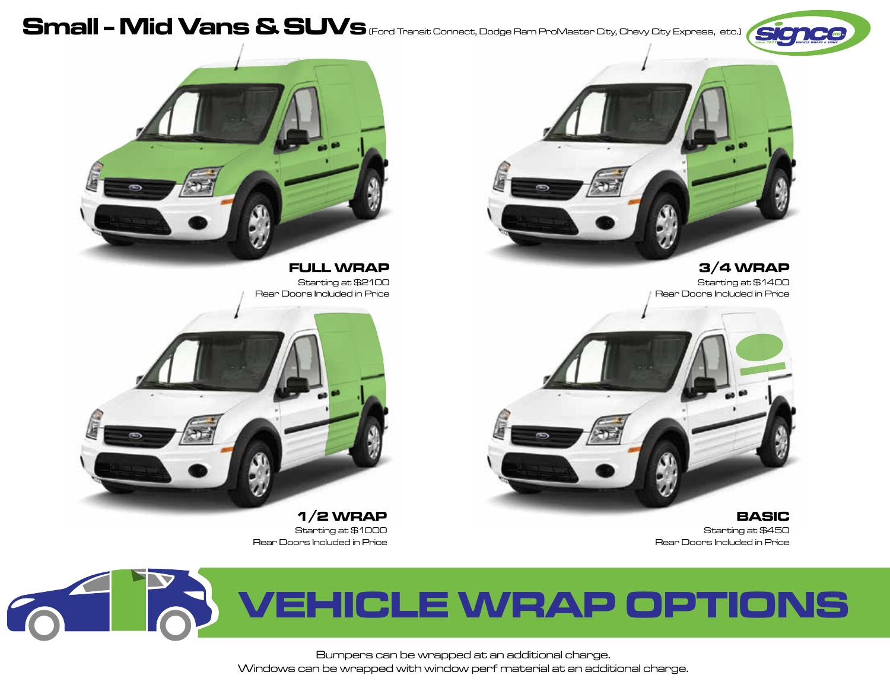# Small - Mid Vans & SUVs (Ford Transit Connect, Dodge Ram ProMaster City, Chevy City Express, etc.)





Starting at \$2100<br>Rear Doors Included in Price



Starting at \$1000



Starting at \$1400 Rear Doors Included in Price



**1/2 WRAP BASIC** Starting at \$450 Rear Doors Included in Price Rear Doors Included in Price

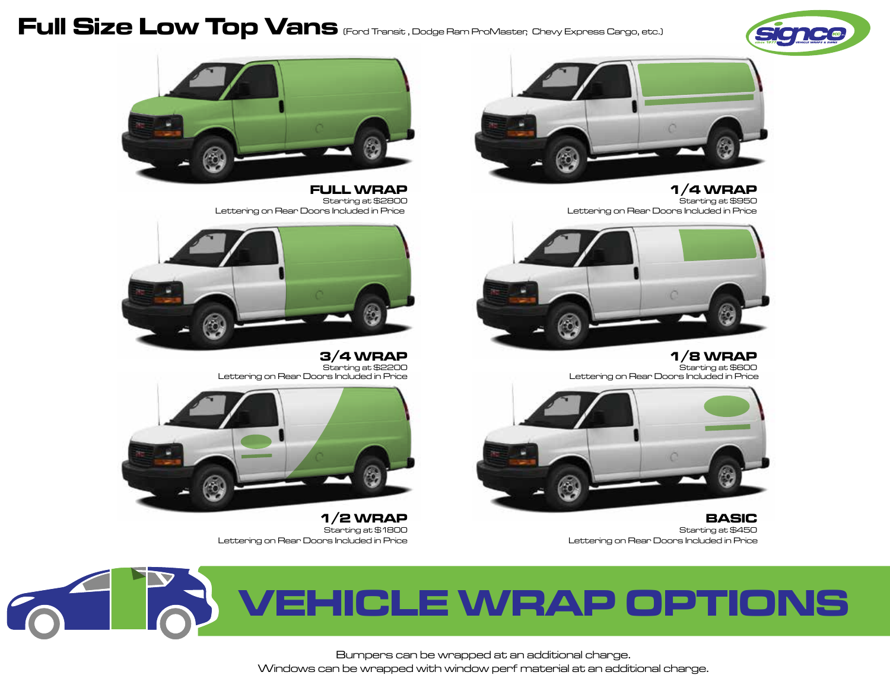# Full Size Low Top Vans (Ford Transit , Dodge Ram ProMaster, Chevy Express Cargo, etc.)





**FULL WRAP 1/4 WRAP 1/6 WRAP 1/6 WRAP 1/6 WRAP 1/6 WRAP** Lettering on Rear Doors Included in Price Lettering on Rear Doors Included in Price



3/4 WRAP<br>Starting at \$2200<br>Lettering on Rear Doors Included in Price Starting at Africa Starting at Africa Lettering on Rear Doors Included in Price Lettering on Rear Doors Included in Price



**1/2 WRAP BASIC** Lettering on Rear Doors Included in Price Lettering on Rear Doors Included in Price



Starting at \$2800



**3/4 WRAP 1/8 WRAP**



Starting at \$1800 Starting at \$450

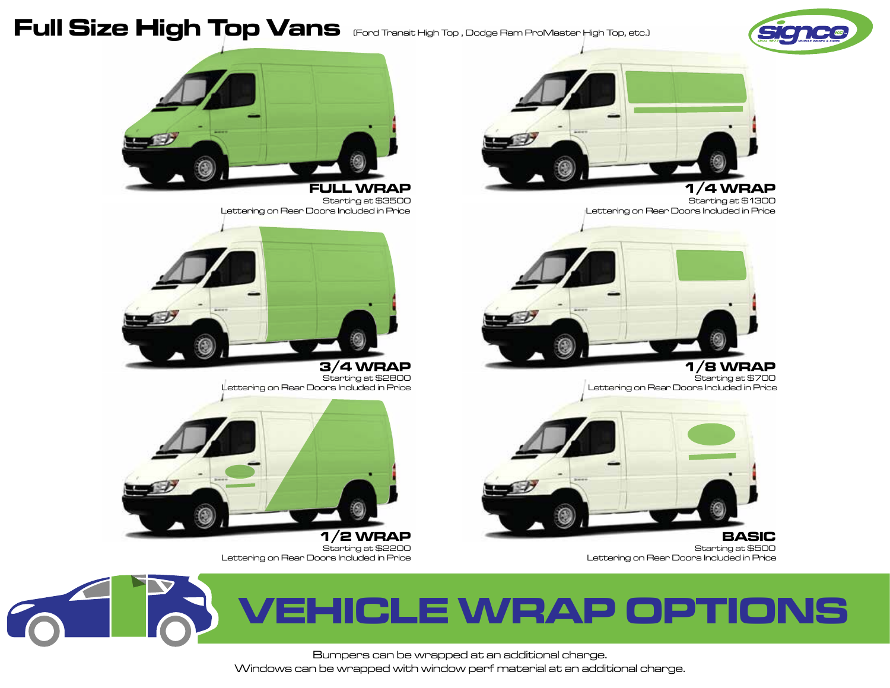

# Full Size High Top Vans (Ford Transit High Top, Dodge Ram ProMaster High Top, etc.)



**FULL WRAP 1/4 WRAP** Lettering on Rear Doors Included in Price Lettering on Rear Doors Included in Price



**3/4 WRAP 1/8 WRAP** Lettering on Rear Doors Included in Price



Lettering on Rear Doors Included in Price



Starting at \$3500



Starting at \$2800<br>Lettering on Rear Doors Included in Price



Starting at \$2200<br>Lettering on Rear Doors Included in Price

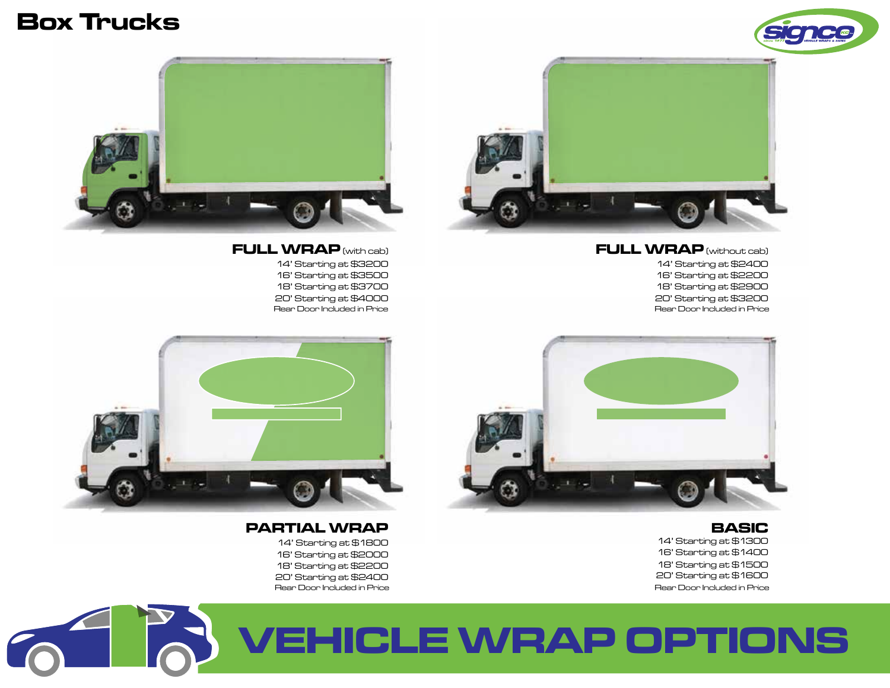



**FULL WRAP** (with cab) **FULL WRAP** (without cab)

18' Starting at \$3700 18' Starting at \$2900 16' Starting at \$3500 16' Starting at \$2200



18' Starting at \$2200 18' Starting at \$1500 14' Starting at \$1800 14' Starting at \$1300



20' Starting at \$4000 20' Starting at \$3200 14' Starting at \$3200 14' Starting at \$2400 Rear Door Included in Price Rear Door Included in Price



#### **PARTIAL WRAP BASIC**

20' Starting at \$2400 20' Starting at \$1600 Rear Door Included in Price Rear Door Included in Price 16' Starting at \$2000 16' Starting at \$1400

# **VEHICLE WRAP OPTIONS**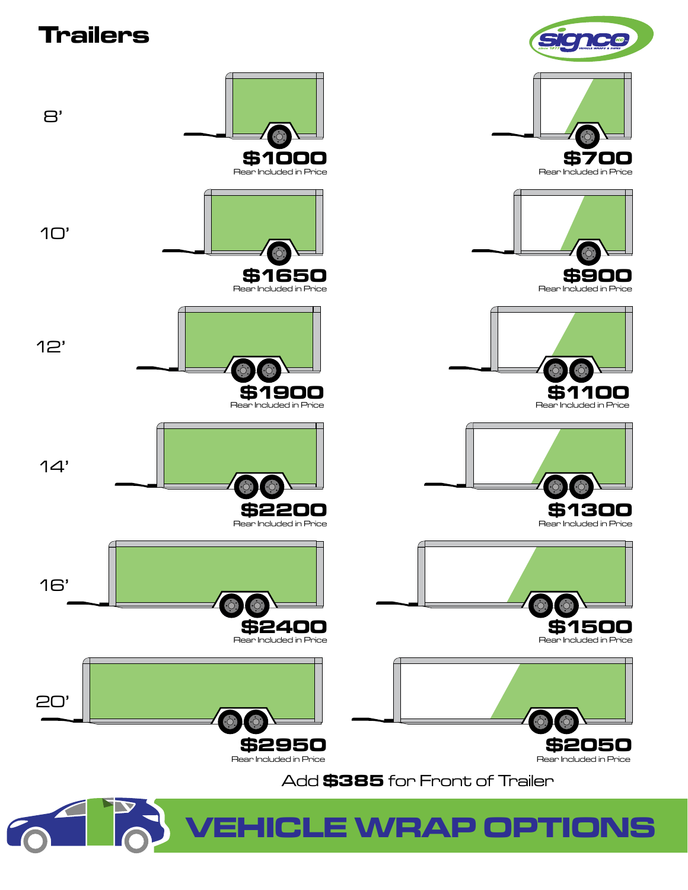# **Trailers**

8'

10'

12'

14'

16'

20'



**C**